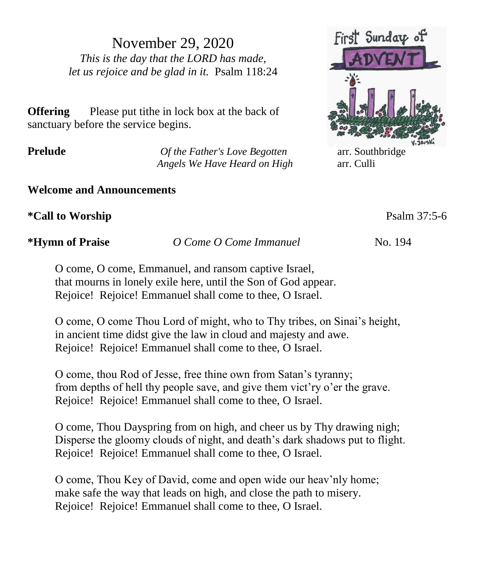November 29, 2020 *This is the day that the LORD has made, let us rejoice and be glad in it.* Psalm 118:24

**Offering** Please put tithe in lock box at the back of sanctuary before the service begins.

**Prelude** *Of the Father's Love Begotten* arr. Southbridge *Angels We Have Heard on High* arr. Culli

## **Welcome and Announcements**

**\*Call to Worship** Psalm 37:5-6

**\*Hymn of Praise** *O Come O Come Immanuel* No. 194

O come, O come, Emmanuel, and ransom captive Israel, that mourns in lonely exile here, until the Son of God appear. Rejoice! Rejoice! Emmanuel shall come to thee, O Israel.

O come, O come Thou Lord of might, who to Thy tribes, on Sinai's height, in ancient time didst give the law in cloud and majesty and awe. Rejoice! Rejoice! Emmanuel shall come to thee, O Israel.

O come, thou Rod of Jesse, free thine own from Satan's tyranny; from depths of hell thy people save, and give them vict'ry o'er the grave. Rejoice! Rejoice! Emmanuel shall come to thee, O Israel.

O come, Thou Dayspring from on high, and cheer us by Thy drawing nigh; Disperse the gloomy clouds of night, and death's dark shadows put to flight. Rejoice! Rejoice! Emmanuel shall come to thee, O Israel.

O come, Thou Key of David, come and open wide our heav'nly home; make safe the way that leads on high, and close the path to misery. Rejoice! Rejoice! Emmanuel shall come to thee, O Israel.

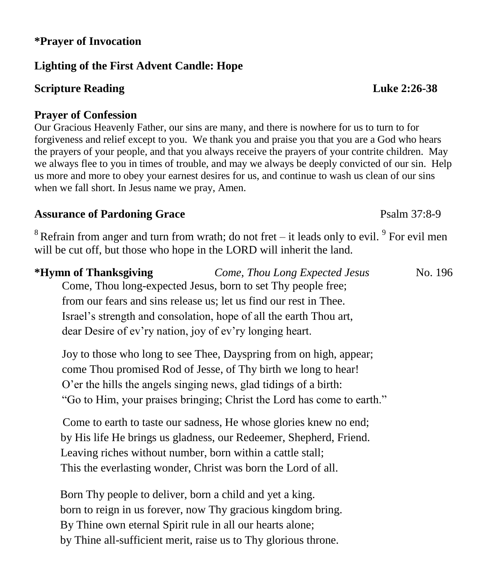## **\*Prayer of Invocation**

## **Lighting of the First Advent Candle: Hope**

## **Scripture Reading Luke 2:26-38**

### **Prayer of Confession**

Our Gracious Heavenly Father, our sins are many, and there is nowhere for us to turn to for forgiveness and relief except to you. We thank you and praise you that you are a God who hears the prayers of your people, and that you always receive the prayers of your contrite children. May we always flee to you in times of trouble, and may we always be deeply convicted of our sin. Help us more and more to obey your earnest desires for us, and continue to wash us clean of our sins when we fall short. In Jesus name we pray, Amen.

#### Assurance of Pardoning Grace **Particle 120 and Psalm 37:8-9** Psalm 37:8-9

 $8$  Refrain from anger and turn from wrath; do not fret – it leads only to evil.  $9$  For evil men will be cut off, but those who hope in the LORD will inherit the land.

| *Hymn of Thanksgiving                                    | Come, Thou Long Expected Jesus                                     | No. 196 |
|----------------------------------------------------------|--------------------------------------------------------------------|---------|
|                                                          | Come, Thou long-expected Jesus, born to set Thy people free;       |         |
|                                                          | from our fears and sins release us; let us find our rest in Thee.  |         |
|                                                          | Israel's strength and consolation, hope of all the earth Thou art, |         |
| dear Desire of ev'ry nation, joy of ev'ry longing heart. |                                                                    |         |

Joy to those who long to see Thee, Dayspring from on high, appear; come Thou promised Rod of Jesse, of Thy birth we long to hear! O'er the hills the angels singing news, glad tidings of a birth: "Go to Him, your praises bringing; Christ the Lord has come to earth."

Come to earth to taste our sadness, He whose glories knew no end; by His life He brings us gladness, our Redeemer, Shepherd, Friend. Leaving riches without number, born within a cattle stall; This the everlasting wonder, Christ was born the Lord of all.

 Born Thy people to deliver, born a child and yet a king. born to reign in us forever, now Thy gracious kingdom bring. By Thine own eternal Spirit rule in all our hearts alone; by Thine all-sufficient merit, raise us to Thy glorious throne.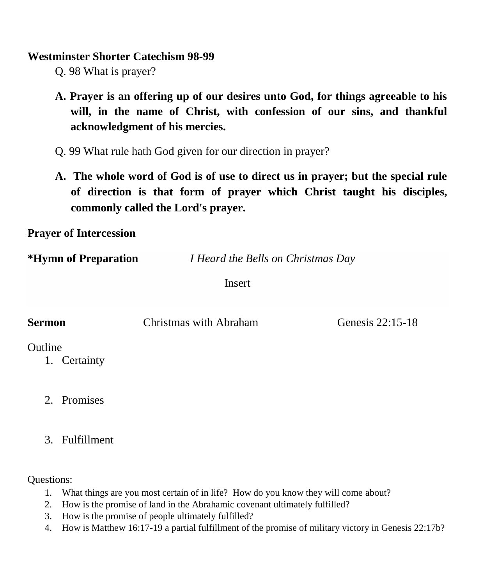#### **Westminster Shorter Catechism 98-99**

Q. 98 What is prayer?

- **A. Prayer is an offering up of our desires unto God, for things agreeable to his will, in the name of Christ, with confession of our sins, and thankful acknowledgment of his mercies.**
- Q. 99 What rule hath God given for our direction in prayer?
- **A. The whole word of God is of use to direct us in prayer; but the special rule of direction is that form of prayer which Christ taught his disciples, commonly called the Lord's prayer.**

**Prayer of Intercession**

**\*Hymn of Preparation** *I Heard the Bells on Christmas Day*

Insert

| <b>Sermon</b> | Christmas with Abraham | Genesis 22:15-18 |
|---------------|------------------------|------------------|
| Outline       |                        |                  |

1. Certainty

- 2. Promises
- 3. Fulfillment

Questions:

- 1. What things are you most certain of in life? How do you know they will come about?
- 2. How is the promise of land in the Abrahamic covenant ultimately fulfilled?
- 3. How is the promise of people ultimately fulfilled?
- 4. How is Matthew 16:17-19 a partial fulfillment of the promise of military victory in Genesis 22:17b?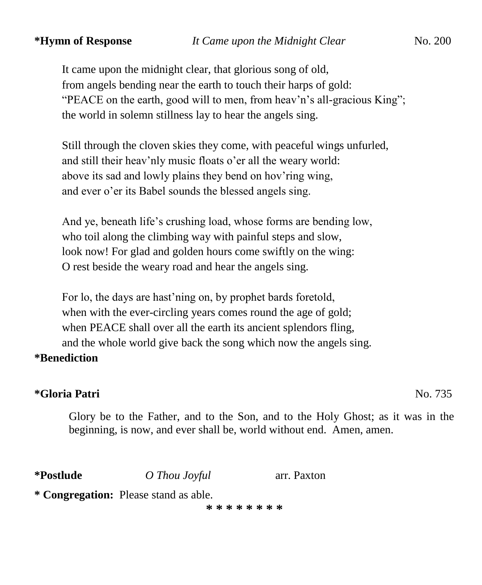It came upon the midnight clear, that glorious song of old, from angels bending near the earth to touch their harps of gold: "PEACE on the earth, good will to men, from heav'n's all-gracious King"; the world in solemn stillness lay to hear the angels sing.

Still through the cloven skies they come, with peaceful wings unfurled, and still their heav'nly music floats o'er all the weary world: above its sad and lowly plains they bend on hov'ring wing, and ever o'er its Babel sounds the blessed angels sing.

And ye, beneath life's crushing load, whose forms are bending low, who toil along the climbing way with painful steps and slow, look now! For glad and golden hours come swiftly on the wing: O rest beside the weary road and hear the angels sing.

For lo, the days are hast'ning on, by prophet bards foretold, when with the ever-circling years comes round the age of gold; when PEACE shall over all the earth its ancient splendors fling, and the whole world give back the song which now the angels sing.

#### **\*Benediction**

### **\*Gloria Patri** No. 735

Glory be to the Father, and to the Son, and to the Holy Ghost; as it was in the beginning, is now, and ever shall be, world without end. Amen, amen.

**\*Postlude** *O Thou Joyful* arr. Paxton

**\* Congregation:** Please stand as able.

**\* \* \* \* \* \* \* \***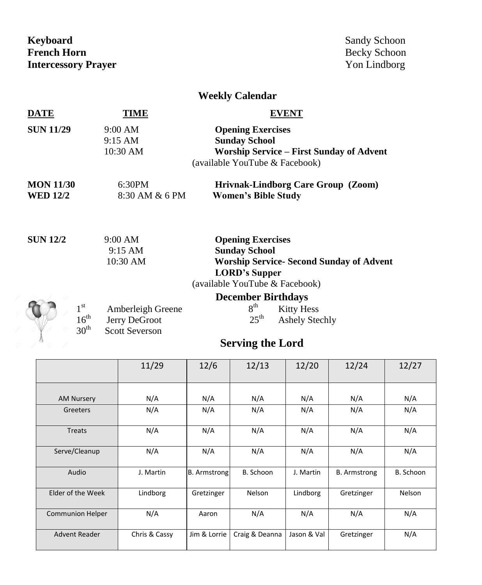**Keyboard Sandy Schoon**<br> **French Horn Becky Schoon Intercessory Prayer** Yon Lindborg

Becky Schoon

## **Weekly Calendar**

| DATE                                | 'IME                                                                                                | EVENT                                                                                                                                                         |  |  |  |
|-------------------------------------|-----------------------------------------------------------------------------------------------------|---------------------------------------------------------------------------------------------------------------------------------------------------------------|--|--|--|
| <b>SUN 11/29</b>                    | 9:00 AM<br>9:15 AM<br>$10:30$ AM                                                                    | <b>Opening Exercises</b><br><b>Sunday School</b><br><b>Worship Service - First Sunday of Advent</b><br>(available YouTube & Facebook)                         |  |  |  |
| <b>MON 11/30</b><br><b>WED 12/2</b> | 6:30PM<br>8:30 AM & 6 PM                                                                            | Hrivnak-Lindborg Care Group (Zoom)<br><b>Women's Bible Study</b>                                                                                              |  |  |  |
| <b>SUN 12/2</b>                     | 9:00 AM<br>$9:15 \text{ AM}$<br>10:30 AM                                                            | <b>Opening Exercises</b><br><b>Sunday School</b><br><b>Worship Service- Second Sunday of Advent</b><br><b>LORD's Supper</b><br>(available YouTube & Facebook) |  |  |  |
| $1^{\rm st}$                        | Amberleigh Greene<br>$16^{\text{th}}$<br>Jerry DeGroot<br>30 <sup>th</sup><br><b>Scott Severson</b> | <b>December Birthdays</b><br>8 <sup>th</sup><br><b>Kitty Hess</b><br>$25^{\text{th}}$<br><b>Ashely Stechly</b><br><b>Serving the Lord</b>                     |  |  |  |

## **Serving the Lord**

|                         | 11/29         | 12/6                | 12/13          | 12/20       | 12/24               | 12/27     |
|-------------------------|---------------|---------------------|----------------|-------------|---------------------|-----------|
| <b>AM Nursery</b>       | N/A           | N/A                 | N/A            | N/A         | N/A                 | N/A       |
| Greeters                | N/A           | N/A                 | N/A            | N/A         | N/A                 | N/A       |
| <b>Treats</b>           | N/A           | N/A                 | N/A            | N/A         | N/A                 | N/A       |
| Serve/Cleanup           | N/A           | N/A                 | N/A            | N/A         | N/A                 | N/A       |
| Audio                   | J. Martin     | <b>B.</b> Armstrong | B. Schoon      | J. Martin   | <b>B.</b> Armstrong | B. Schoon |
| Elder of the Week       | Lindborg      | Gretzinger          | Nelson         | Lindborg    | Gretzinger          | Nelson    |
| <b>Communion Helper</b> | N/A           | Aaron               | N/A            | N/A         | N/A                 | N/A       |
| <b>Advent Reader</b>    | Chris & Cassy | Jim & Lorrie        | Craig & Deanna | Jason & Val | Gretzinger          | N/A       |